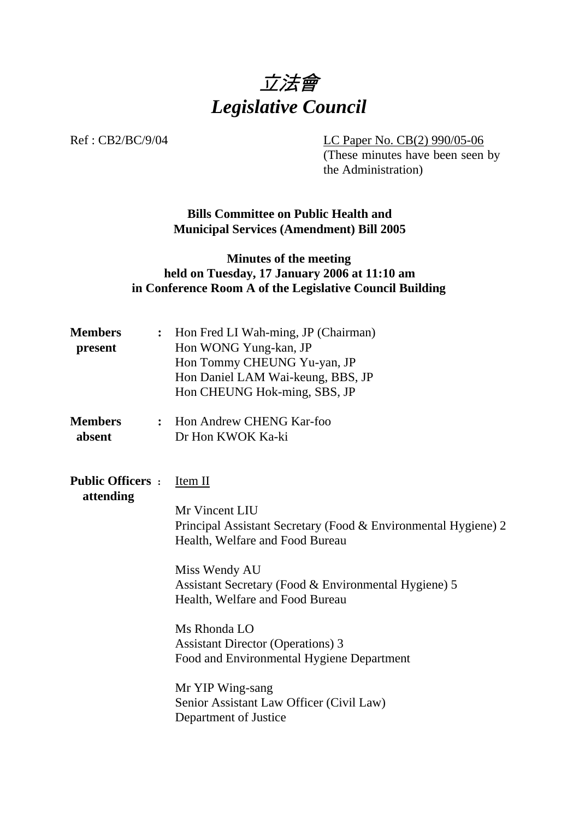

Ref : CB2/BC/9/04 LC Paper No. CB(2) 990/05-06

(These minutes have been seen by the Administration)

**Bills Committee on Public Health and Municipal Services (Amendment) Bill 2005** 

## **Minutes of the meeting held on Tuesday, 17 January 2006 at 11:10 am in Conference Room A of the Legislative Council Building**

| <b>Members</b><br>present            | $\ddot{\cdot}$ | Hon Fred LI Wah-ming, JP (Chairman)<br>Hon WONG Yung-kan, JP<br>Hon Tommy CHEUNG Yu-yan, JP<br>Hon Daniel LAM Wai-keung, BBS, JP<br>Hon CHEUNG Hok-ming, SBS, JP                                                                                                                                                                                                                                                                             |
|--------------------------------------|----------------|----------------------------------------------------------------------------------------------------------------------------------------------------------------------------------------------------------------------------------------------------------------------------------------------------------------------------------------------------------------------------------------------------------------------------------------------|
| <b>Members</b><br>absent             | $\ddot{\cdot}$ | Hon Andrew CHENG Kar-foo<br>Dr Hon KWOK Ka-ki                                                                                                                                                                                                                                                                                                                                                                                                |
| <b>Public Officers:</b><br>attending |                | Item II<br>Mr Vincent LIU<br>Principal Assistant Secretary (Food & Environmental Hygiene) 2<br>Health, Welfare and Food Bureau<br>Miss Wendy AU<br>Assistant Secretary (Food & Environmental Hygiene) 5<br>Health, Welfare and Food Bureau<br>Ms Rhonda LO<br><b>Assistant Director (Operations) 3</b><br>Food and Environmental Hygiene Department<br>Mr YIP Wing-sang<br>Senior Assistant Law Officer (Civil Law)<br>Department of Justice |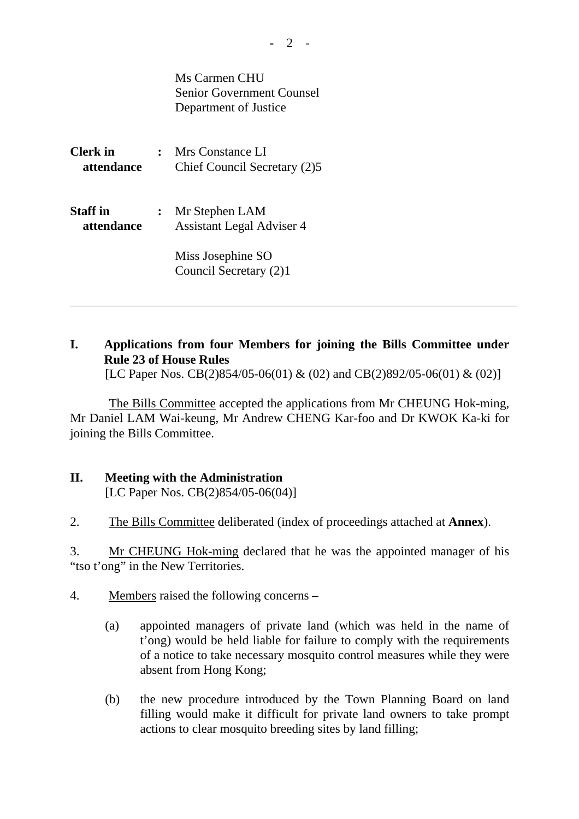|                               | Ms Carmen CHU<br><b>Senior Government Counsel</b><br>Department of Justice                        |
|-------------------------------|---------------------------------------------------------------------------------------------------|
| <b>Clerk</b> in<br>attendance | : Mrs Constance LI<br>Chief Council Secretary (2)5                                                |
| <b>Staff</b> in<br>attendance | Mr Stephen LAM<br><b>Assistant Legal Adviser 4</b><br>Miss Josephine SO<br>Council Secretary (2)1 |

## **I. Applications from four Members for joining the Bills Committee under Rule 23 of House Rules**

[LC Paper Nos. CB(2)854/05-06(01) & (02) and CB(2)892/05-06(01) & (02)]

 The Bills Committee accepted the applications from Mr CHEUNG Hok-ming, Mr Daniel LAM Wai-keung, Mr Andrew CHENG Kar-foo and Dr KWOK Ka-ki for joining the Bills Committee.

## **II. Meeting with the Administration**  [LC Paper Nos. CB(2)854/05-06(04)]

2. The Bills Committee deliberated (index of proceedings attached at **Annex**).

3. Mr CHEUNG Hok-ming declared that he was the appointed manager of his "tso t'ong" in the New Territories.

- 4. Members raised the following concerns
	- (a) appointed managers of private land (which was held in the name of t'ong) would be held liable for failure to comply with the requirements of a notice to take necessary mosquito control measures while they were absent from Hong Kong;
	- (b) the new procedure introduced by the Town Planning Board on land filling would make it difficult for private land owners to take prompt actions to clear mosquito breeding sites by land filling;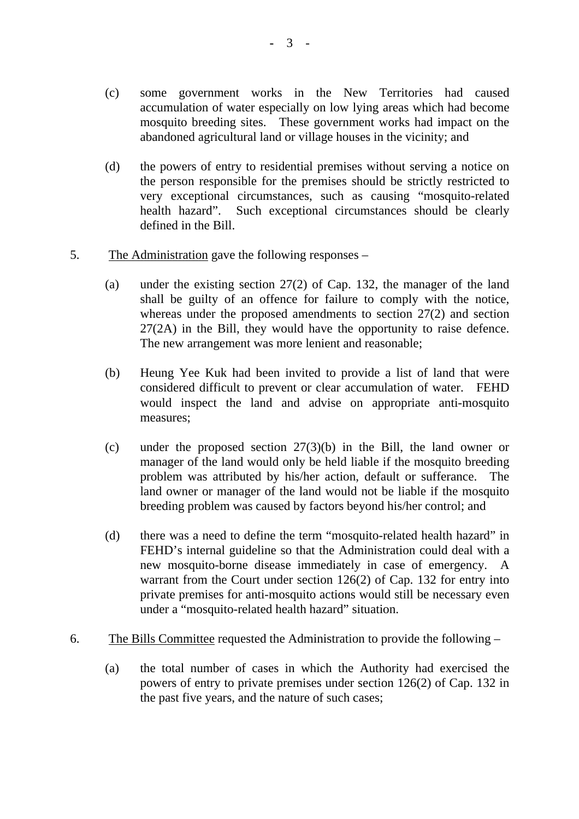- (c) some government works in the New Territories had caused accumulation of water especially on low lying areas which had become mosquito breeding sites. These government works had impact on the abandoned agricultural land or village houses in the vicinity; and
- (d) the powers of entry to residential premises without serving a notice on the person responsible for the premises should be strictly restricted to very exceptional circumstances, such as causing "mosquito-related health hazard". Such exceptional circumstances should be clearly defined in the Bill.
- 5. The Administration gave the following responses
	- (a) under the existing section 27(2) of Cap. 132, the manager of the land shall be guilty of an offence for failure to comply with the notice, whereas under the proposed amendments to section 27(2) and section 27(2A) in the Bill, they would have the opportunity to raise defence. The new arrangement was more lenient and reasonable;
	- (b) Heung Yee Kuk had been invited to provide a list of land that were considered difficult to prevent or clear accumulation of water. FEHD would inspect the land and advise on appropriate anti-mosquito measures;
	- (c) under the proposed section 27(3)(b) in the Bill, the land owner or manager of the land would only be held liable if the mosquito breeding problem was attributed by his/her action, default or sufferance. The land owner or manager of the land would not be liable if the mosquito breeding problem was caused by factors beyond his/her control; and
	- (d) there was a need to define the term "mosquito-related health hazard" in FEHD's internal guideline so that the Administration could deal with a new mosquito-borne disease immediately in case of emergency. A warrant from the Court under section 126(2) of Cap. 132 for entry into private premises for anti-mosquito actions would still be necessary even under a "mosquito-related health hazard" situation.
- 6. The Bills Committee requested the Administration to provide the following
	- (a) the total number of cases in which the Authority had exercised the powers of entry to private premises under section 126(2) of Cap. 132 in the past five years, and the nature of such cases;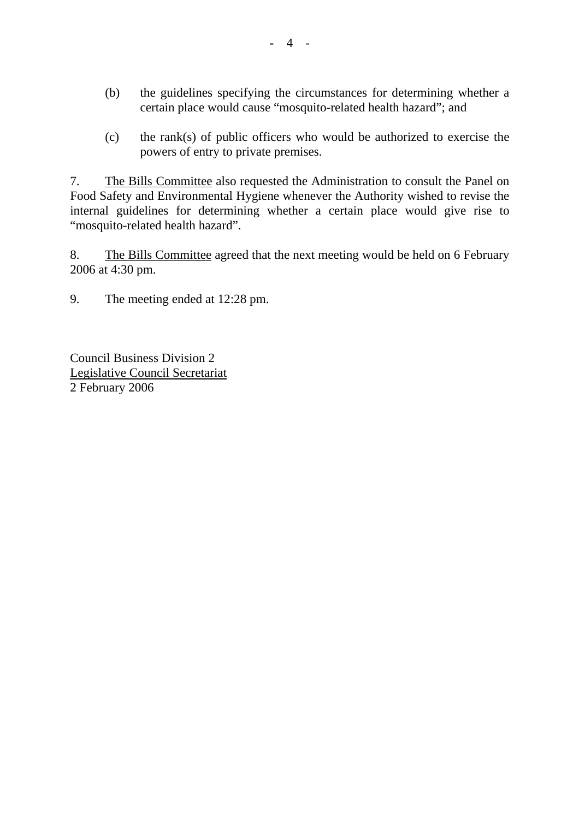- (b) the guidelines specifying the circumstances for determining whether a certain place would cause "mosquito-related health hazard"; and
- (c) the rank(s) of public officers who would be authorized to exercise the powers of entry to private premises.

7. The Bills Committee also requested the Administration to consult the Panel on Food Safety and Environmental Hygiene whenever the Authority wished to revise the internal guidelines for determining whether a certain place would give rise to "mosquito-related health hazard".

8. The Bills Committee agreed that the next meeting would be held on 6 February 2006 at 4:30 pm.

9. The meeting ended at 12:28 pm.

Council Business Division 2 Legislative Council Secretariat 2 February 2006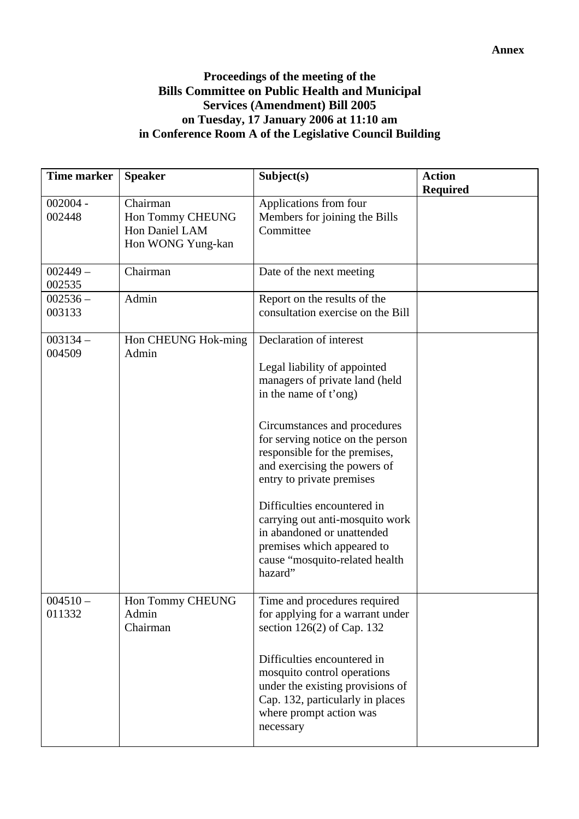## **Proceedings of the meeting of the Bills Committee on Public Health and Municipal Services (Amendment) Bill 2005 on Tuesday, 17 January 2006 at 11:10 am in Conference Room A of the Legislative Council Building**

| <b>Time marker</b>   | <b>Speaker</b>                                                      | Subject(s)                                                                                                                                                                                                                                                                                                                                                                                                                                                      | <b>Action</b><br><b>Required</b> |
|----------------------|---------------------------------------------------------------------|-----------------------------------------------------------------------------------------------------------------------------------------------------------------------------------------------------------------------------------------------------------------------------------------------------------------------------------------------------------------------------------------------------------------------------------------------------------------|----------------------------------|
| $002004 -$<br>002448 | Chairman<br>Hon Tommy CHEUNG<br>Hon Daniel LAM<br>Hon WONG Yung-kan | Applications from four<br>Members for joining the Bills<br>Committee                                                                                                                                                                                                                                                                                                                                                                                            |                                  |
| $002449 -$<br>002535 | Chairman                                                            | Date of the next meeting                                                                                                                                                                                                                                                                                                                                                                                                                                        |                                  |
| $002536 -$<br>003133 | Admin                                                               | Report on the results of the<br>consultation exercise on the Bill                                                                                                                                                                                                                                                                                                                                                                                               |                                  |
| $003134 -$<br>004509 | Hon CHEUNG Hok-ming<br>Admin                                        | Declaration of interest<br>Legal liability of appointed<br>managers of private land (held<br>in the name of t'ong)<br>Circumstances and procedures<br>for serving notice on the person<br>responsible for the premises,<br>and exercising the powers of<br>entry to private premises<br>Difficulties encountered in<br>carrying out anti-mosquito work<br>in abandoned or unattended<br>premises which appeared to<br>cause "mosquito-related health<br>hazard" |                                  |
| $004510 -$<br>011332 | Hon Tommy CHEUNG<br>Admin<br>Chairman                               | Time and procedures required<br>for applying for a warrant under<br>section $126(2)$ of Cap. 132<br>Difficulties encountered in<br>mosquito control operations<br>under the existing provisions of<br>Cap. 132, particularly in places<br>where prompt action was<br>necessary                                                                                                                                                                                  |                                  |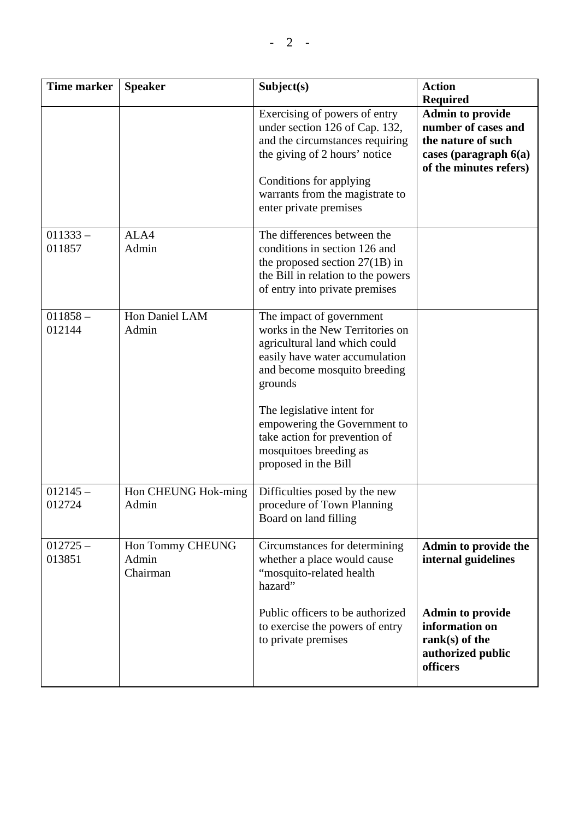| <b>Time marker</b>   | <b>Speaker</b>                        | Subject(s)                                                                                                                                                                                                                                                                                                                 | <b>Action</b><br><b>Required</b>                                                                                          |
|----------------------|---------------------------------------|----------------------------------------------------------------------------------------------------------------------------------------------------------------------------------------------------------------------------------------------------------------------------------------------------------------------------|---------------------------------------------------------------------------------------------------------------------------|
|                      |                                       | Exercising of powers of entry<br>under section 126 of Cap. 132,<br>and the circumstances requiring<br>the giving of 2 hours' notice<br>Conditions for applying<br>warrants from the magistrate to<br>enter private premises                                                                                                | <b>Admin to provide</b><br>number of cases and<br>the nature of such<br>cases (paragraph $6(a)$<br>of the minutes refers) |
| $011333 -$<br>011857 | ALA4<br>Admin                         | The differences between the<br>conditions in section 126 and<br>the proposed section $27(1B)$ in<br>the Bill in relation to the powers<br>of entry into private premises                                                                                                                                                   |                                                                                                                           |
| $011858 -$<br>012144 | Hon Daniel LAM<br>Admin               | The impact of government<br>works in the New Territories on<br>agricultural land which could<br>easily have water accumulation<br>and become mosquito breeding<br>grounds<br>The legislative intent for<br>empowering the Government to<br>take action for prevention of<br>mosquitoes breeding as<br>proposed in the Bill |                                                                                                                           |
| $012145 -$<br>012724 | Hon CHEUNG Hok-ming<br>Admin          | Difficulties posed by the new<br>procedure of Town Planning<br>Board on land filling                                                                                                                                                                                                                                       |                                                                                                                           |
| $012725 -$<br>013851 | Hon Tommy CHEUNG<br>Admin<br>Chairman | Circumstances for determining<br>whether a place would cause<br>"mosquito-related health<br>hazard"<br>Public officers to be authorized                                                                                                                                                                                    | Admin to provide the<br>internal guidelines<br><b>Admin to provide</b>                                                    |
|                      |                                       | to exercise the powers of entry<br>to private premises                                                                                                                                                                                                                                                                     | information on<br>rank $(s)$ of the<br>authorized public<br>officers                                                      |